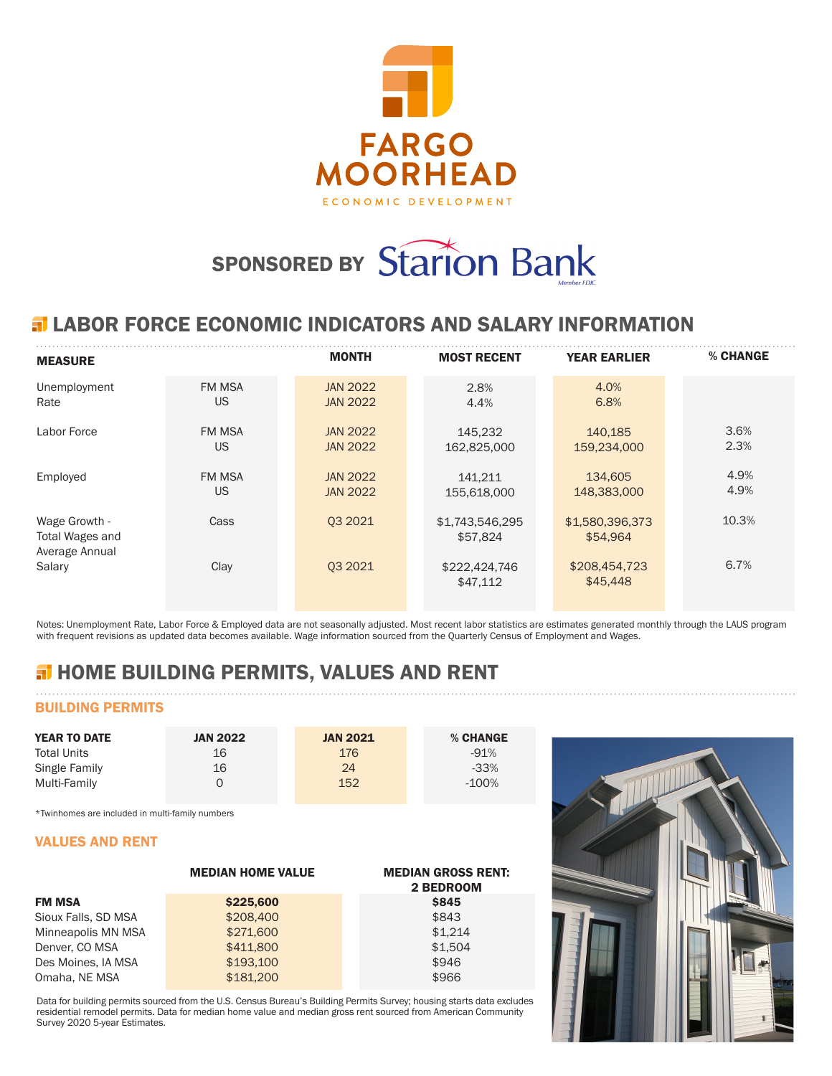

# SPONSORED BY Starion Bank

## **ELABOR FORCE ECONOMIC INDICATORS AND SALARY INFORMATION**

| <b>MEASURE</b>                                     |               | <b>MONTH</b>    | <b>MOST RECENT</b>          | <b>YEAR EARLIER</b>         | % CHANGE |
|----------------------------------------------------|---------------|-----------------|-----------------------------|-----------------------------|----------|
| Unemployment                                       | <b>FM MSA</b> | <b>JAN 2022</b> | 2.8%                        | 4.0%                        |          |
| Rate                                               | US            | <b>JAN 2022</b> | 4.4%                        | 6.8%                        |          |
| Labor Force                                        | <b>FM MSA</b> | <b>JAN 2022</b> | 145,232                     | 140,185                     | 3.6%     |
|                                                    | US            | <b>JAN 2022</b> | 162,825,000                 | 159,234,000                 | 2.3%     |
| Employed                                           | <b>FM MSA</b> | <b>JAN 2022</b> | 141.211                     | 134,605                     | 4.9%     |
|                                                    | US            | <b>JAN 2022</b> | 155,618,000                 | 148,383,000                 | 4.9%     |
| Wage Growth -<br>Total Wages and<br>Average Annual | Cass          | 03 20 21        | \$1,743,546,295<br>\$57,824 | \$1,580,396,373<br>\$54.964 | 10.3%    |
| Salary                                             | Clay          | 03 20 21        | \$222,424,746<br>\$47,112   | \$208,454,723<br>\$45,448   | 6.7%     |

Notes: Unemployment Rate, Labor Force & Employed data are not seasonally adjusted. Most recent labor statistics are estimates generated monthly through the LAUS program with frequent revisions as updated data becomes available. Wage information sourced from the Quarterly Census of Employment and Wages.

# **H** HOME BUILDING PERMITS, VALUES AND RENT

## BUILDING PERMITS

| <b>YEAR TO DATE</b> | <b>JAN 2022</b> | <b>JAN 2021</b> | % CHANGE |
|---------------------|-----------------|-----------------|----------|
| <b>Total Units</b>  | 16              | 176             | $-91%$   |
| Single Family       | 16              | 24              | $-33%$   |
| Multi-Family        |                 | 152             | -100%    |

\*Twinhomes are included in multi-family numbers

#### VALUES AND RENT

|                     | <b>MEDIAN HOME VALUE</b> | <b>MEDIAN GROSS RENT:</b><br>2 BEDROOM |
|---------------------|--------------------------|----------------------------------------|
| <b>FM MSA</b>       | \$225,600                | <b>\$845</b>                           |
| Sioux Falls, SD MSA | \$208,400                | \$843                                  |
| Minneapolis MN MSA  | \$271,600                | \$1.214                                |
| Denver, CO MSA      | \$411,800                | \$1.504                                |
| Des Moines, IA MSA  | \$193,100                | \$946                                  |
| Omaha, NE MSA       | \$181,200                | \$966                                  |

Data for building permits sourced from the U.S. Census Bureau's Building Permits Survey; housing starts data excludes residential remodel permits. Data for median home value and median gross rent sourced from American Community Survey 2020 5-year Estimates.